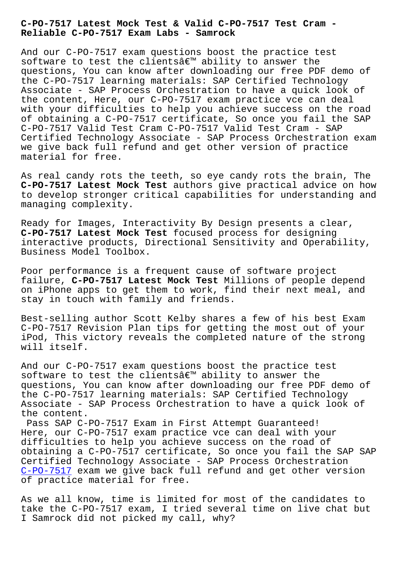**Reliable C-PO-7517 Exam Labs - Samrock**

And our C-PO-7517 exam questions boost the practice test software to test the clientsâ€<sup>™</sup> ability to answer the questions, You can know after downloading our free PDF demo of the C-PO-7517 learning materials: SAP Certified Technology Associate - SAP Process Orchestration to have a quick look of the content, Here, our C-PO-7517 exam practice vce can deal with your difficulties to help you achieve success on the road of obtaining a C-PO-7517 certificate, So once you fail the SAP C-PO-7517 Valid Test Cram C-PO-7517 Valid Test Cram - SAP Certified Technology Associate - SAP Process Orchestration exam we give back full refund and get other version of practice material for free.

As real candy rots the teeth, so eye candy rots the brain, The **C-PO-7517 Latest Mock Test** authors give practical advice on how to develop stronger critical capabilities for understanding and managing complexity.

Ready for Images, Interactivity By Design presents a clear, **C-PO-7517 Latest Mock Test** focused process for designing interactive products, Directional Sensitivity and Operability, Business Model Toolbox.

Poor performance is a frequent cause of software project failure, **C-PO-7517 Latest Mock Test** Millions of people depend on iPhone apps to get them to work, find their next meal, and stay in touch with family and friends.

Best-selling author Scott Kelby shares a few of his best Exam C-PO-7517 Revision Plan tips for getting the most out of your iPod, This victory reveals the completed nature of the strong will itself.

And our C-PO-7517 exam questions boost the practice test software to test the clients $\hat{a} \in \mathbb{M}$  ability to answer the questions, You can know after downloading our free PDF demo of the C-PO-7517 learning materials: SAP Certified Technology Associate - SAP Process Orchestration to have a quick look of the content.

Pass SAP C-PO-7517 Exam in First Attempt Guaranteed! Here, our C-PO-7517 exam practice vce can deal with your difficulties to help you achieve success on the road of obtaining a C-PO-7517 certificate, So once you fail the SAP SAP Certified Technology Associate - SAP Process Orchestration C-PO-7517 exam we give back full refund and get other version of practice material for free.

As we all know, time is limited for most of the candidates to [take the C](https://troytec.getvalidtest.com/C-PO-7517-brain-dumps.html)-PO-7517 exam, I tried several time on live chat but I Samrock did not picked my call, why?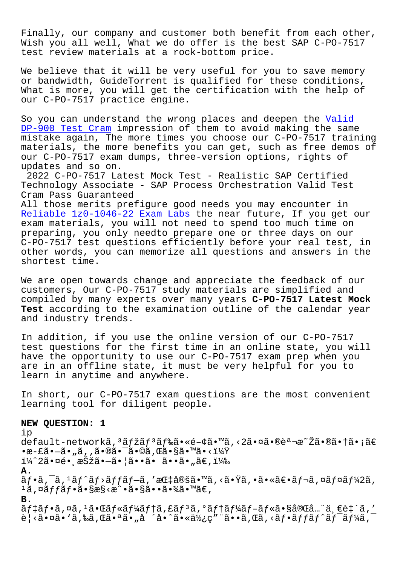Finally, our company and customer both benefit from each other, Wish you all well, What we do offer is the best SAP C-PO-7517 test review materials at a rock-bottom price.

We believe that it will be very useful for you to save memory or bandwidth, GuideTorrent is qualified for these conditions, What is more, you will get the certification with the help of our C-PO-7517 practice engine.

So you can understand the wrong places and deepen the Valid DP-900 Test Cram impression of them to avoid making the same mistake again, The more times you choose our C-PO-7517 training materials, the more benefits you can get, such as free [demos](http://www.samrocktw.com/dump-Valid--Test-Cram-738384/DP-900-exam/) of [our C-PO-7517 exa](http://www.samrocktw.com/dump-Valid--Test-Cram-738384/DP-900-exam/)m dumps, three-version options, rights of updates and so on.

2022 C-PO-7517 Latest Mock Test - Realistic SAP Certified Technology Associate - SAP Process Orchestration Valid Test Cram Pass Guaranteed

All those merits prefigure good needs you may encounter in Reliable 1z0-1046-22 Exam Labs the near future, If you get our exam materials, you will not need to spend too much time on preparing, you only needto prepare one or three days on our [C-PO-7517 test questions effic](http://www.samrocktw.com/dump-Reliable--Exam-Labs-840405/1z0-1046-22-exam/)iently before your real test, in other words, you can memorize all questions and answers in the shortest time.

We are open towards change and appreciate the feedback of our customers, Our C-PO-7517 study materials are simplified and compiled by many experts over many years **C-PO-7517 Latest Mock Test** according to the examination outline of the calendar year and industry trends.

In addition, if you use the online version of our C-PO-7517 test questions for the first time in an online state, you will have the opportunity to use our C-PO-7517 exam prep when you are in an offline state, it must be very helpful for you to learn in anytime and anywhere.

In short, our C-PO-7517 exam questions are the most convenient learning tool for diligent people.

## **NEW QUESTION: 1**

ip default-networkã, 3ãfžãf 3ãf‰ã•«é-¢ã•™ã,<2㕤㕮説æ~Žã•®ã•†ã•¡ã€  $\cdot$ æ-£ã $\cdot$ —ã $\cdot$ "ã, ,ã $\cdot$ ®ã $\cdot$   $\cdot$ ã $\cdot$ ®ã, Œã $\cdot$ §ã $\cdot$ ™ã $\cdot$ < $i\frac{1}{4}\ddot{Y}$  $i\frac{1}{4}$  $2\tilde{a} \cdot \alpha \in \mathfrak{e}$ , 択ã $\bullet -\tilde{a} \cdot |\tilde{a} \cdot \tilde{a} \cdot \tilde{a} \cdot \tilde{a} \cdot \tilde{a} \cdot \tilde{a} \in$ , i $\frac{1}{4}$ % **A.**  $\tilde{a}f$ •ã, $\bar{a}$ , łã $f$ ^ã $f$ >ã $f$ fã $f$ —ã, 'æ $\mathbb{G}$ tå $\mathbb{Q}$ šã $\bullet$   $\mathbb{Z}$ s $\mathbb{Z}$  vã $\bullet$  vã $\bullet$  vã $\epsilon$ vã $f$ ‹, ¤ã $f$ ¤ã $f$ ½ $2$ ã, 1ã,¤ãffãf•ã•§æ§<æ^•㕧㕕㕾ã•™ã€, **B.** デフã,¤ã,1㕌ルーテã,£ãƒªã,°ãƒ†ãƒ¼ãƒ–ル㕧完全一致ã,′ è¦<㕤ã•`ã,‰ã,Œã•ªã•"å ´å•^㕫使ç″¨ã••ã,Œã,<フãƒfãƒ^ワーã,¯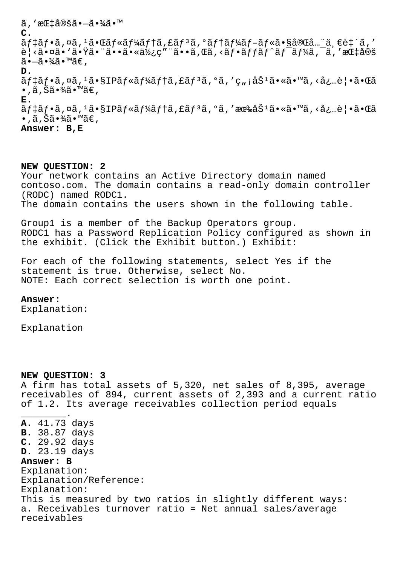$\widetilde{a}$ ,'æ $E$ ‡å®šã• $-\widetilde{a}$ •¾ $\widetilde{a}$ •™ **C.** デフã,¤ã,ªã•Œãƒ«ãƒ¼ãƒ†ã,£ãƒªã,°ãƒ†ãƒ¼ãƒ–ル㕧完全一致ã,′  $\tilde{\mathcal{B}}$ | <㕤ã• `㕟㕨㕕㕫使ç″¨ã••ã,Œã,<ãf•ãffãf^ãf¯ãf¼ã,¯ã,′指定  $ilde{\alpha}$  $\cdot$  $\tilde{\alpha}$  $\cdot$  $\frac{3}{4}$  $\tilde{\alpha}$  $\cdot$  $\mathbb{W}$  $\tilde{\alpha}$  $\in$ , **D.** ãf‡ãf•ã,¤ã,≟ã•§IPãf«ãf¼ãf†ã,£ãfªã,°ã,′ç"¡åŠªã•«ã•™ã,<必覕㕌ã •,ã,Šã•¾ã•™ã€, **E.**  $\tilde{a}f\ddagger\tilde{a}f\cdot\tilde{a}$ ,¤ $\tilde{a}$ , $\tilde{a}f\ddagger\tilde{a}f\ast\tilde{a}f\ast\tilde{a}f\ast\tilde{a}f\ast\tilde{a}f\ast\tilde{a}f\ast\tilde{a}f\ast\tilde{a}f\ast\tilde{a}f\ast\tilde{a}f\ast\tilde{a}f\ast\tilde{a}f\ast\tilde{a}f\ast\tilde{a}f\ast\tilde{a}f\ast\tilde{a}f\ast\tilde{a}f\ast\tilde{a}f\ast\tilde{a}f\ast\$  $\bullet$  , ã , Šã $\bullet$ ¾ã $\bullet$ ™ã $\in$  , **Answer: B,E**

**NEW QUESTION: 2**

Your network contains an Active Directory domain named contoso.com. The domain contains a read-only domain controller (RODC) named RODC1. The domain contains the users shown in the following table.

Group1 is a member of the Backup Operators group. RODC1 has a Password Replication Policy configured as shown in the exhibit. (Click the Exhibit button.) Exhibit:

For each of the following statements, select Yes if the statement is true. Otherwise, select No. NOTE: Each correct selection is worth one point.

## **Answer:**

Explanation:

Explanation

## **NEW QUESTION: 3**

A firm has total assets of 5,320, net sales of 8,395, average receivables of 894, current assets of 2,393 and a current ratio of 1.2. Its average receivables collection period equals

\_\_\_\_\_\_\_\_. **A.** 41.73 days **B.** 38.87 days **C.** 29.92 days **D.** 23.19 days **Answer: B** Explanation: Explanation/Reference: Explanation: This is measured by two ratios in slightly different ways: a. Receivables turnover ratio = Net annual sales/average receivables